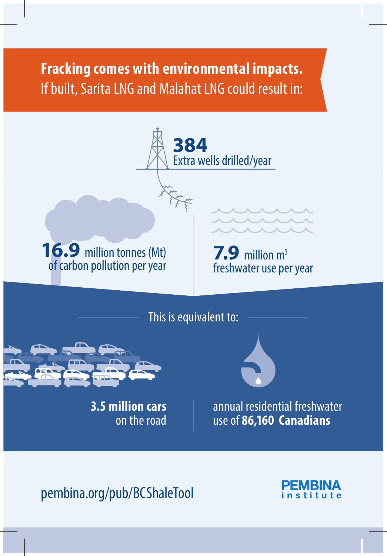## **Fracking comes with environmental impacts.** If built, Sarita LNG and Malahat LNG could result in:



pembina.org/pub/BCShaleTool